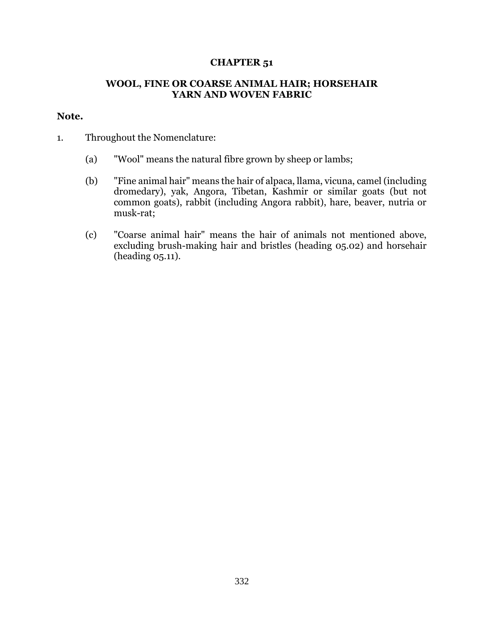## **CHAPTER 51**

## **WOOL, FINE OR COARSE ANIMAL HAIR; HORSEHAIR YARN AND WOVEN FABRIC**

## **Note.**

- 1. Throughout the Nomenclature:
	- (a) "Wool" means the natural fibre grown by sheep or lambs;
	- (b) "Fine animal hair" means the hair of alpaca, llama, vicuna, camel (including dromedary), yak, Angora, Tibetan, Kashmir or similar goats (but not common goats), rabbit (including Angora rabbit), hare, beaver, nutria or musk-rat;
	- (c) "Coarse animal hair" means the hair of animals not mentioned above, excluding brush-making hair and bristles (heading 05.02) and horsehair (heading 05.11).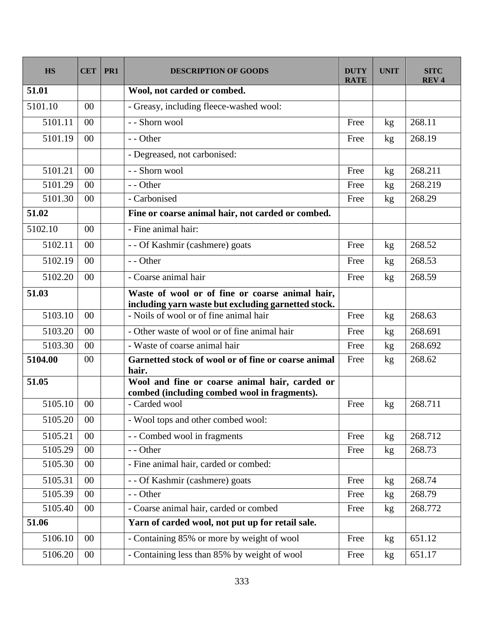| <b>HS</b> | <b>CET</b> | PR <sub>1</sub> | <b>DESCRIPTION OF GOODS</b>                                                                            | DUTY<br><b>RATE</b> | <b>UNIT</b> | <b>SITC</b><br><b>REV<sub>4</sub></b> |
|-----------|------------|-----------------|--------------------------------------------------------------------------------------------------------|---------------------|-------------|---------------------------------------|
| 51.01     |            |                 | Wool, not carded or combed.                                                                            |                     |             |                                       |
| 5101.10   | 00         |                 | - Greasy, including fleece-washed wool:                                                                |                     |             |                                       |
| 5101.11   | 00         |                 | - - Shorn wool                                                                                         | Free                | kg          | 268.11                                |
| 5101.19   | 00         |                 | - - Other                                                                                              | Free                | kg          | 268.19                                |
|           |            |                 | - Degreased, not carbonised:                                                                           |                     |             |                                       |
| 5101.21   | 00         |                 | - - Shorn wool                                                                                         | Free                | kg          | 268.211                               |
| 5101.29   | 00         |                 | - - Other                                                                                              | Free                | kg          | 268.219                               |
| 5101.30   | 00         |                 | - Carbonised                                                                                           | Free                | kg          | 268.29                                |
| 51.02     |            |                 | Fine or coarse animal hair, not carded or combed.                                                      |                     |             |                                       |
| 5102.10   | 00         |                 | - Fine animal hair:                                                                                    |                     |             |                                       |
| 5102.11   | 00         |                 | - - Of Kashmir (cashmere) goats                                                                        | Free                | kg          | 268.52                                |
| 5102.19   | 00         |                 | - - Other                                                                                              | Free                | kg          | 268.53                                |
| 5102.20   | 00         |                 | - Coarse animal hair                                                                                   | Free                | kg          | 268.59                                |
| 51.03     |            |                 | Waste of wool or of fine or coarse animal hair,<br>including yarn waste but excluding garnetted stock. |                     |             |                                       |
| 5103.10   | 00         |                 | - Noils of wool or of fine animal hair                                                                 | Free                | kg          | 268.63                                |
| 5103.20   | 00         |                 | - Other waste of wool or of fine animal hair                                                           | Free                | kg          | 268.691                               |
| 5103.30   | 00         |                 | - Waste of coarse animal hair                                                                          | Free                | kg          | 268.692                               |
| 5104.00   | 00         |                 | Garnetted stock of wool or of fine or coarse animal<br>hair.                                           | Free                | kg          | 268.62                                |
| 51.05     |            |                 | Wool and fine or coarse animal hair, carded or<br>combed (including combed wool in fragments).         |                     |             |                                       |
| 5105.10   | 00         |                 | - Carded wool                                                                                          | Free                | kg          | 268.711                               |
| 5105.20   | $00\,$     |                 | - Wool tops and other combed wool:                                                                     |                     |             |                                       |
| 5105.21   | $00\,$     |                 | - - Combed wool in fragments                                                                           | Free                | kg          | 268.712                               |
| 5105.29   | 00         |                 | - - Other                                                                                              | Free                | kg          | 268.73                                |
| 5105.30   | 00         |                 | - Fine animal hair, carded or combed:                                                                  |                     |             |                                       |
| 5105.31   | 00         |                 | - - Of Kashmir (cashmere) goats                                                                        | Free                | kg          | 268.74                                |
| 5105.39   | $00\,$     |                 | - - Other                                                                                              | Free                | kg          | 268.79                                |
| 5105.40   | $00\,$     |                 | - Coarse animal hair, carded or combed                                                                 | Free                | kg          | 268.772                               |
| 51.06     |            |                 | Yarn of carded wool, not put up for retail sale.                                                       |                     |             |                                       |
| 5106.10   | $00\,$     |                 | - Containing 85% or more by weight of wool                                                             | Free                | kg          | 651.12                                |
| 5106.20   | $00\,$     |                 | - Containing less than 85% by weight of wool                                                           | Free                | kg          | 651.17                                |